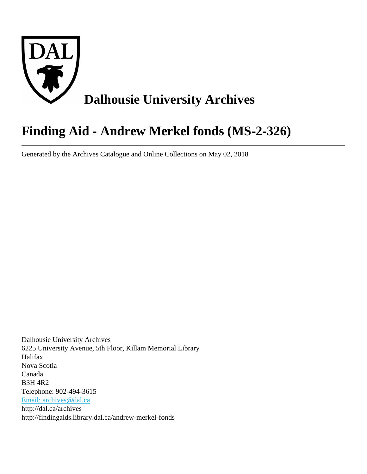

# **Finding Aid - Andrew Merkel fonds (MS-2-326)**

Generated by the Archives Catalogue and Online Collections on May 02, 2018

Dalhousie University Archives 6225 University Avenue, 5th Floor, Killam Memorial Library Halifax Nova Scotia Canada B3H 4R2 Telephone: 902-494-3615 [Email: archives@dal.ca](mailto:Email: archives@dal.ca) http://dal.ca/archives http://findingaids.library.dal.ca/andrew-merkel-fonds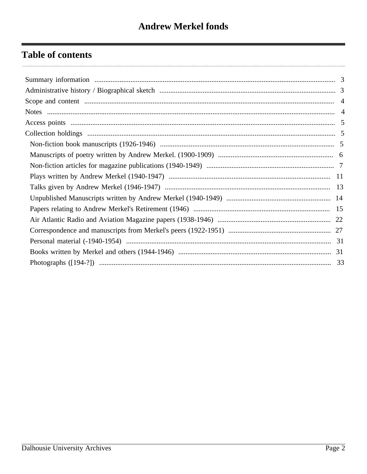# **Table of contents**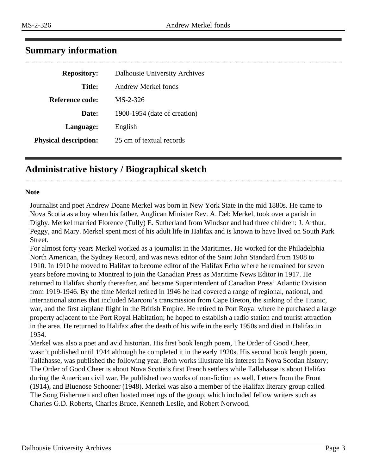<span id="page-2-0"></span>

| <b>Repository:</b>           | <b>Dalhousie University Archives</b> |
|------------------------------|--------------------------------------|
| <b>Title:</b>                | Andrew Merkel fonds                  |
| Reference code:              | $MS-2-326$                           |
| Date:                        | 1900-1954 (date of creation)         |
| Language:                    | English                              |
| <b>Physical description:</b> | 25 cm of textual records             |

# <span id="page-2-1"></span>**Administrative history / Biographical sketch**

#### **Note**

Journalist and poet Andrew Doane Merkel was born in New York State in the mid 1880s. He came to Nova Scotia as a boy when his father, Anglican Minister Rev. A. Deb Merkel, took over a parish in Digby. Merkel married Florence (Tully) E. Sutherland from Windsor and had three children: J. Arthur, Peggy, and Mary. Merkel spent most of his adult life in Halifax and is known to have lived on South Park Street.

For almost forty years Merkel worked as a journalist in the Maritimes. He worked for the Philadelphia North American, the Sydney Record, and was news editor of the Saint John Standard from 1908 to 1910. In 1910 he moved to Halifax to become editor of the Halifax Echo where he remained for seven years before moving to Montreal to join the Canadian Press as Maritime News Editor in 1917. He returned to Halifax shortly thereafter, and became Superintendent of Canadian Press' Atlantic Division from 1919-1946. By the time Merkel retired in 1946 he had covered a range of regional, national, and international stories that included Marconi's transmission from Cape Breton, the sinking of the Titanic, war, and the first airplane flight in the British Empire. He retired to Port Royal where he purchased a large property adjacent to the Port Royal Habitation; he hoped to establish a radio station and tourist attraction in the area. He returned to Halifax after the death of his wife in the early 1950s and died in Halifax in 1954.

Merkel was also a poet and avid historian. His first book length poem, The Order of Good Cheer, wasn't published until 1944 although he completed it in the early 1920s. His second book length poem, Tallahasse, was published the following year. Both works illustrate his interest in Nova Scotian history; The Order of Good Cheer is about Nova Scotia's first French settlers while Tallahasse is about Halifax during the American civil war. He published two works of non-fiction as well, Letters from the Front (1914), and Bluenose Schooner (1948). Merkel was also a member of the Halifax literary group called The Song Fishermen and often hosted meetings of the group, which included fellow writers such as Charles G.D. Roberts, Charles Bruce, Kenneth Leslie, and Robert Norwood.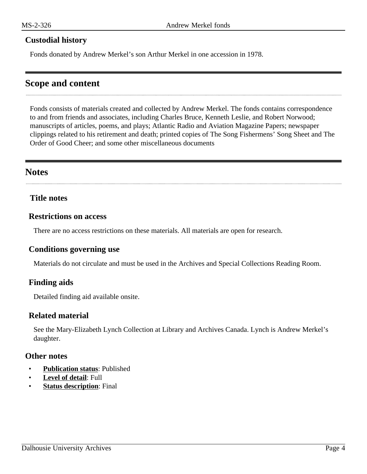### **Custodial history**

Fonds donated by Andrew Merkel's son Arthur Merkel in one accession in 1978.

# <span id="page-3-0"></span>**Scope and content**

Fonds consists of materials created and collected by Andrew Merkel. The fonds contains correspondence to and from friends and associates, including Charles Bruce, Kenneth Leslie, and Robert Norwood; manuscripts of articles, poems, and plays; Atlantic Radio and Aviation Magazine Papers; newspaper clippings related to his retirement and death; printed copies of The Song Fishermens' Song Sheet and The Order of Good Cheer; and some other miscellaneous documents

# <span id="page-3-1"></span>**Notes**

### **Title notes**

#### **Restrictions on access**

There are no access restrictions on these materials. All materials are open for research.

#### **Conditions governing use**

Materials do not circulate and must be used in the Archives and Special Collections Reading Room.

# **Finding aids**

Detailed finding aid available onsite.

#### **Related material**

See the Mary-Elizabeth Lynch Collection at Library and Archives Canada. Lynch is Andrew Merkel's daughter.

#### **Other notes**

- **Publication status**: Published
- **Level of detail**: Full
- **Status description:** Final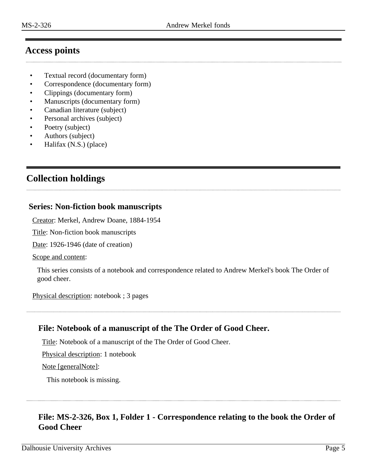# <span id="page-4-0"></span>**Access points**

- Textual record (documentary form)
- Correspondence (documentary form)
- Clippings (documentary form)
- Manuscripts (documentary form)
- Canadian literature (subject)
- Personal archives (subject)
- Poetry (subject)
- Authors (subject)
- Halifax (N.S.) (place)

# <span id="page-4-1"></span>**Collection holdings**

# <span id="page-4-2"></span>**Series: Non-fiction book manuscripts**

Creator: Merkel, Andrew Doane, 1884-1954

Title: Non-fiction book manuscripts

Date: 1926-1946 (date of creation)

Scope and content:

This series consists of a notebook and correspondence related to Andrew Merkel's book The Order of good cheer.

Physical description: notebook ; 3 pages

# **File: Notebook of a manuscript of the The Order of Good Cheer.**

Title: Notebook of a manuscript of the The Order of Good Cheer.

Physical description: 1 notebook

Note [generalNote]:

This notebook is missing.

# **File: MS-2-326, Box 1, Folder 1 - Correspondence relating to the book the Order of Good Cheer**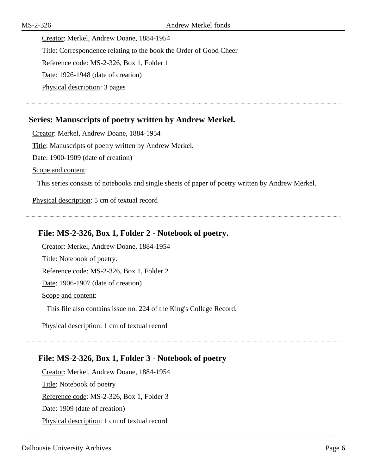Creator: Merkel, Andrew Doane, 1884-1954 Title: Correspondence relating to the book the Order of Good Cheer Reference code: MS-2-326, Box 1, Folder 1 Date: 1926-1948 (date of creation) Physical description: 3 pages

# <span id="page-5-0"></span>**Series: Manuscripts of poetry written by Andrew Merkel.**

Creator: Merkel, Andrew Doane, 1884-1954 Title: Manuscripts of poetry written by Andrew Merkel. Date: 1900-1909 (date of creation) Scope and content:

This series consists of notebooks and single sheets of paper of poetry written by Andrew Merkel.

Physical description: 5 cm of textual record

# **File: MS-2-326, Box 1, Folder 2 - Notebook of poetry.**

Creator: Merkel, Andrew Doane, 1884-1954 Title: Notebook of poetry. Reference code: MS-2-326, Box 1, Folder 2 Date: 1906-1907 (date of creation) Scope and content: This file also contains issue no. 224 of the King's College Record.

Physical description: 1 cm of textual record

# **File: MS-2-326, Box 1, Folder 3 - Notebook of poetry**

Creator: Merkel, Andrew Doane, 1884-1954 Title: Notebook of poetry Reference code: MS-2-326, Box 1, Folder 3 Date: 1909 (date of creation) Physical description: 1 cm of textual record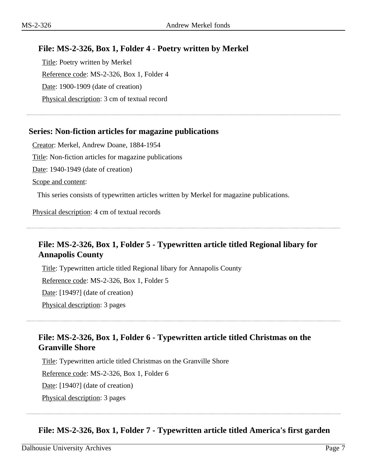# **File: MS-2-326, Box 1, Folder 4 - Poetry written by Merkel**

Title: Poetry written by Merkel Reference code: MS-2-326, Box 1, Folder 4 Date: 1900-1909 (date of creation) Physical description: 3 cm of textual record

# <span id="page-6-0"></span>**Series: Non-fiction articles for magazine publications**

Creator: Merkel, Andrew Doane, 1884-1954 Title: Non-fiction articles for magazine publications Date: 1940-1949 (date of creation) Scope and content:

This series consists of typewritten articles written by Merkel for magazine publications.

Physical description: 4 cm of textual records

# **File: MS-2-326, Box 1, Folder 5 - Typewritten article titled Regional libary for Annapolis County**

Title: Typewritten article titled Regional libary for Annapolis County Reference code: MS-2-326, Box 1, Folder 5 Date: [1949?] (date of creation) Physical description: 3 pages

# **File: MS-2-326, Box 1, Folder 6 - Typewritten article titled Christmas on the Granville Shore**

Title: Typewritten article titled Christmas on the Granville Shore Reference code: MS-2-326, Box 1, Folder 6 Date: [1940?] (date of creation) Physical description: 3 pages

# **File: MS-2-326, Box 1, Folder 7 - Typewritten article titled America's first garden**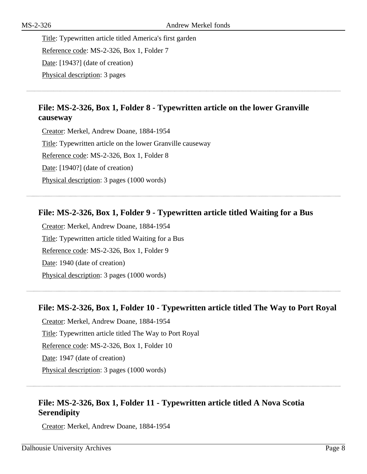Title: Typewritten article titled America's first garden Reference code: MS-2-326, Box 1, Folder 7 Date: [1943?] (date of creation) Physical description: 3 pages

# **File: MS-2-326, Box 1, Folder 8 - Typewritten article on the lower Granville causeway**

Creator: Merkel, Andrew Doane, 1884-1954 Title: Typewritten article on the lower Granville causeway Reference code: MS-2-326, Box 1, Folder 8 Date: [1940?] (date of creation) Physical description: 3 pages (1000 words)

# **File: MS-2-326, Box 1, Folder 9 - Typewritten article titled Waiting for a Bus**

Creator: Merkel, Andrew Doane, 1884-1954 Title: Typewritten article titled Waiting for a Bus Reference code: MS-2-326, Box 1, Folder 9 Date: 1940 (date of creation) Physical description: 3 pages (1000 words)

# **File: MS-2-326, Box 1, Folder 10 - Typewritten article titled The Way to Port Royal**

Creator: Merkel, Andrew Doane, 1884-1954 Title: Typewritten article titled The Way to Port Royal Reference code: MS-2-326, Box 1, Folder 10 Date: 1947 (date of creation) Physical description: 3 pages (1000 words)

# **File: MS-2-326, Box 1, Folder 11 - Typewritten article titled A Nova Scotia Serendipity**

Creator: Merkel, Andrew Doane, 1884-1954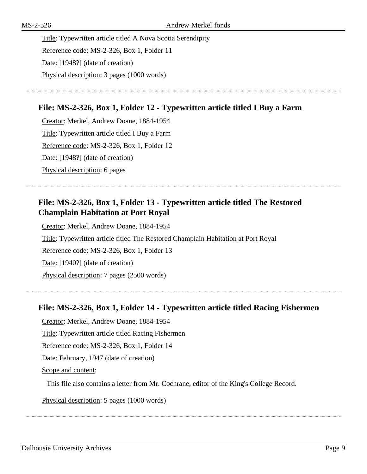Title: Typewritten article titled A Nova Scotia Serendipity Reference code: MS-2-326, Box 1, Folder 11 Date: [1948?] (date of creation) Physical description: 3 pages (1000 words)

# **File: MS-2-326, Box 1, Folder 12 - Typewritten article titled I Buy a Farm**

Creator: Merkel, Andrew Doane, 1884-1954 Title: Typewritten article titled I Buy a Farm Reference code: MS-2-326, Box 1, Folder 12 Date: [1948?] (date of creation) Physical description: 6 pages

# **File: MS-2-326, Box 1, Folder 13 - Typewritten article titled The Restored Champlain Habitation at Port Royal**

Creator: Merkel, Andrew Doane, 1884-1954 Title: Typewritten article titled The Restored Champlain Habitation at Port Royal Reference code: MS-2-326, Box 1, Folder 13 Date: [1940?] (date of creation) Physical description: 7 pages (2500 words)

# **File: MS-2-326, Box 1, Folder 14 - Typewritten article titled Racing Fishermen**

Creator: Merkel, Andrew Doane, 1884-1954

Title: Typewritten article titled Racing Fishermen

Reference code: MS-2-326, Box 1, Folder 14

Date: February, 1947 (date of creation)

Scope and content:

This file also contains a letter from Mr. Cochrane, editor of the King's College Record.

Physical description: 5 pages (1000 words)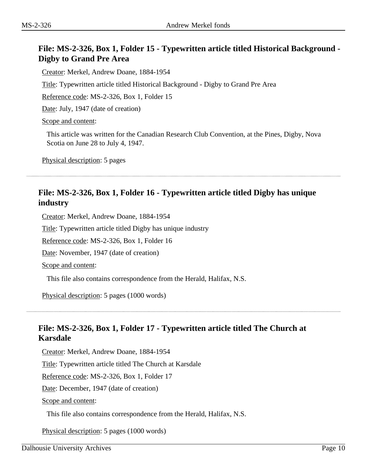# **File: MS-2-326, Box 1, Folder 15 - Typewritten article titled Historical Background - Digby to Grand Pre Area**

Creator: Merkel, Andrew Doane, 1884-1954

Title: Typewritten article titled Historical Background - Digby to Grand Pre Area

Reference code: MS-2-326, Box 1, Folder 15

Date: July, 1947 (date of creation)

Scope and content:

This article was written for the Canadian Research Club Convention, at the Pines, Digby, Nova Scotia on June 28 to July 4, 1947.

Physical description: 5 pages

# **File: MS-2-326, Box 1, Folder 16 - Typewritten article titled Digby has unique industry**

Creator: Merkel, Andrew Doane, 1884-1954

Title: Typewritten article titled Digby has unique industry

Reference code: MS-2-326, Box 1, Folder 16

Date: November, 1947 (date of creation)

Scope and content:

This file also contains correspondence from the Herald, Halifax, N.S.

Physical description: 5 pages (1000 words)

# **File: MS-2-326, Box 1, Folder 17 - Typewritten article titled The Church at Karsdale**

Creator: Merkel, Andrew Doane, 1884-1954

Title: Typewritten article titled The Church at Karsdale

Reference code: MS-2-326, Box 1, Folder 17

Date: December, 1947 (date of creation)

Scope and content:

This file also contains correspondence from the Herald, Halifax, N.S.

Physical description: 5 pages (1000 words)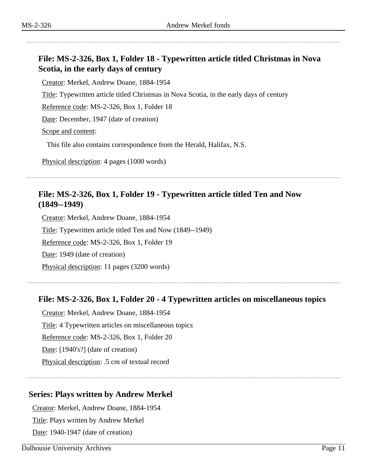# **File: MS-2-326, Box 1, Folder 18 - Typewritten article titled Christmas in Nova Scotia, in the early days of century**

Creator: Merkel, Andrew Doane, 1884-1954

Title: Typewritten article titled Christmas in Nova Scotia, in the early days of century

Reference code: MS-2-326, Box 1, Folder 18

Date: December, 1947 (date of creation)

Scope and content:

This file also contains correspondence from the Herald, Halifax, N.S.

Physical description: 4 pages (1000 words)

# **File: MS-2-326, Box 1, Folder 19 - Typewritten article titled Ten and Now (1849--1949)**

Creator: Merkel, Andrew Doane, 1884-1954 Title: Typewritten article titled Ten and Now (1849--1949) Reference code: MS-2-326, Box 1, Folder 19 Date: 1949 (date of creation) Physical description: 11 pages (3200 words)

# **File: MS-2-326, Box 1, Folder 20 - 4 Typewritten articles on miscellaneous topics**

Creator: Merkel, Andrew Doane, 1884-1954 Title: 4 Typewritten articles on miscellaneous topics Reference code: MS-2-326, Box 1, Folder 20 Date: [1940's?] (date of creation) Physical description: .5 cm of textual record

# <span id="page-10-0"></span>**Series: Plays written by Andrew Merkel**

Creator: Merkel, Andrew Doane, 1884-1954 Title: Plays written by Andrew Merkel Date: 1940-1947 (date of creation)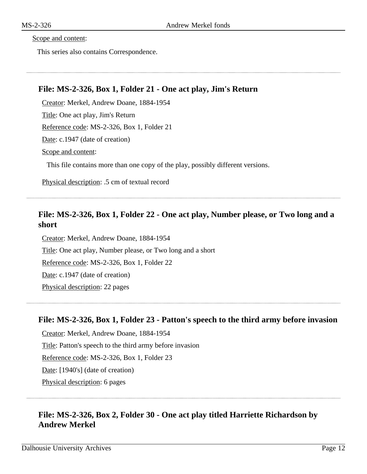Scope and content:

This series also contains Correspondence.

# **File: MS-2-326, Box 1, Folder 21 - One act play, Jim's Return**

Creator: Merkel, Andrew Doane, 1884-1954 Title: One act play, Jim's Return Reference code: MS-2-326, Box 1, Folder 21 Date: c.1947 (date of creation)

Scope and content:

This file contains more than one copy of the play, possibly different versions.

Physical description: .5 cm of textual record

# **File: MS-2-326, Box 1, Folder 22 - One act play, Number please, or Two long and a short**

Creator: Merkel, Andrew Doane, 1884-1954 Title: One act play, Number please, or Two long and a short Reference code: MS-2-326, Box 1, Folder 22 Date: c.1947 (date of creation) Physical description: 22 pages

#### **File: MS-2-326, Box 1, Folder 23 - Patton's speech to the third army before invasion**

Creator: Merkel, Andrew Doane, 1884-1954 Title: Patton's speech to the third army before invasion Reference code: MS-2-326, Box 1, Folder 23 Date: [1940's] (date of creation) Physical description: 6 pages

# **File: MS-2-326, Box 2, Folder 30 - One act play titled Harriette Richardson by Andrew Merkel**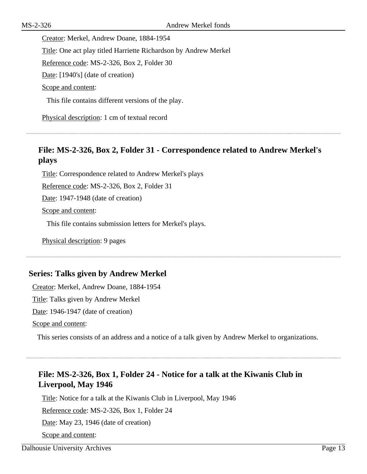Creator: Merkel, Andrew Doane, 1884-1954 Title: One act play titled Harriette Richardson by Andrew Merkel Reference code: MS-2-326, Box 2, Folder 30 Date: [1940's] (date of creation) Scope and content:

This file contains different versions of the play.

Physical description: 1 cm of textual record

# **File: MS-2-326, Box 2, Folder 31 - Correspondence related to Andrew Merkel's plays**

Title: Correspondence related to Andrew Merkel's plays

Reference code: MS-2-326, Box 2, Folder 31

Date: 1947-1948 (date of creation)

Scope and content:

This file contains submission letters for Merkel's plays.

Physical description: 9 pages

# <span id="page-12-0"></span>**Series: Talks given by Andrew Merkel**

Creator: Merkel, Andrew Doane, 1884-1954

Title: Talks given by Andrew Merkel

Date: 1946-1947 (date of creation)

Scope and content:

This series consists of an address and a notice of a talk given by Andrew Merkel to organizations.

# **File: MS-2-326, Box 1, Folder 24 - Notice for a talk at the Kiwanis Club in Liverpool, May 1946**

Title: Notice for a talk at the Kiwanis Club in Liverpool, May 1946

Reference code: MS-2-326, Box 1, Folder 24

Date: May 23, 1946 (date of creation)

Scope and content: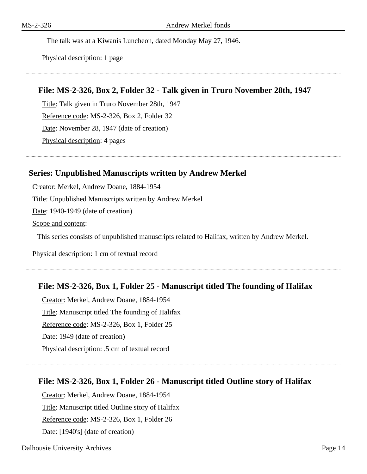The talk was at a Kiwanis Luncheon, dated Monday May 27, 1946.

Physical description: 1 page

#### **File: MS-2-326, Box 2, Folder 32 - Talk given in Truro November 28th, 1947**

Title: Talk given in Truro November 28th, 1947 Reference code: MS-2-326, Box 2, Folder 32 Date: November 28, 1947 (date of creation) Physical description: 4 pages

#### <span id="page-13-0"></span>**Series: Unpublished Manuscripts written by Andrew Merkel**

Creator: Merkel, Andrew Doane, 1884-1954

Title: Unpublished Manuscripts written by Andrew Merkel

Date: 1940-1949 (date of creation)

Scope and content:

This series consists of unpublished manuscripts related to Halifax, written by Andrew Merkel.

Physical description: 1 cm of textual record

#### **File: MS-2-326, Box 1, Folder 25 - Manuscript titled The founding of Halifax**

Creator: Merkel, Andrew Doane, 1884-1954 Title: Manuscript titled The founding of Halifax Reference code: MS-2-326, Box 1, Folder 25 Date: 1949 (date of creation) Physical description: .5 cm of textual record

#### **File: MS-2-326, Box 1, Folder 26 - Manuscript titled Outline story of Halifax**

Creator: Merkel, Andrew Doane, 1884-1954 Title: Manuscript titled Outline story of Halifax Reference code: MS-2-326, Box 1, Folder 26 Date: [1940's] (date of creation)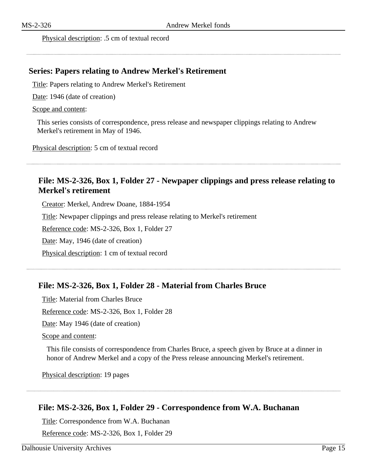#### Physical description: .5 cm of textual record

#### <span id="page-14-0"></span>**Series: Papers relating to Andrew Merkel's Retirement**

Title: Papers relating to Andrew Merkel's Retirement

Date: 1946 (date of creation)

#### Scope and content:

This series consists of correspondence, press release and newspaper clippings relating to Andrew Merkel's retirement in May of 1946.

Physical description: 5 cm of textual record

# **File: MS-2-326, Box 1, Folder 27 - Newpaper clippings and press release relating to Merkel's retirement**

Creator: Merkel, Andrew Doane, 1884-1954

Title: Newpaper clippings and press release relating to Merkel's retirement

Reference code: MS-2-326, Box 1, Folder 27

Date: May, 1946 (date of creation)

Physical description: 1 cm of textual record

# **File: MS-2-326, Box 1, Folder 28 - Material from Charles Bruce**

Title: Material from Charles Bruce Reference code: MS-2-326, Box 1, Folder 28

Date: May 1946 (date of creation)

Scope and content:

This file consists of correspondence from Charles Bruce, a speech given by Bruce at a dinner in honor of Andrew Merkel and a copy of the Press release announcing Merkel's retirement.

Physical description: 19 pages

# **File: MS-2-326, Box 1, Folder 29 - Correspondence from W.A. Buchanan**

Title: Correspondence from W.A. Buchanan

Reference code: MS-2-326, Box 1, Folder 29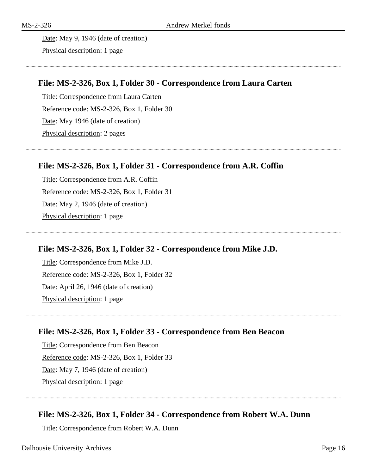Date: May 9, 1946 (date of creation) Physical description: 1 page

# **File: MS-2-326, Box 1, Folder 30 - Correspondence from Laura Carten**

Title: Correspondence from Laura Carten Reference code: MS-2-326, Box 1, Folder 30 Date: May 1946 (date of creation) Physical description: 2 pages

# **File: MS-2-326, Box 1, Folder 31 - Correspondence from A.R. Coffin**

Title: Correspondence from A.R. Coffin Reference code: MS-2-326, Box 1, Folder 31 Date: May 2, 1946 (date of creation) Physical description: 1 page

# **File: MS-2-326, Box 1, Folder 32 - Correspondence from Mike J.D.**

Title: Correspondence from Mike J.D. Reference code: MS-2-326, Box 1, Folder 32 Date: April 26, 1946 (date of creation) Physical description: 1 page

# **File: MS-2-326, Box 1, Folder 33 - Correspondence from Ben Beacon**

Title: Correspondence from Ben Beacon Reference code: MS-2-326, Box 1, Folder 33 Date: May 7, 1946 (date of creation) Physical description: 1 page

# **File: MS-2-326, Box 1, Folder 34 - Correspondence from Robert W.A. Dunn**

Title: Correspondence from Robert W.A. Dunn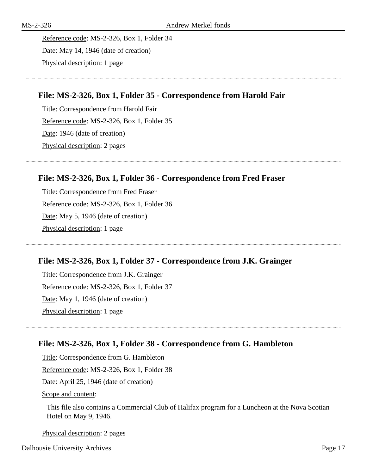Reference code: MS-2-326, Box 1, Folder 34 Date: May 14, 1946 (date of creation) Physical description: 1 page

# **File: MS-2-326, Box 1, Folder 35 - Correspondence from Harold Fair**

Title: Correspondence from Harold Fair Reference code: MS-2-326, Box 1, Folder 35 Date: 1946 (date of creation) Physical description: 2 pages

# **File: MS-2-326, Box 1, Folder 36 - Correspondence from Fred Fraser**

Title: Correspondence from Fred Fraser Reference code: MS-2-326, Box 1, Folder 36 Date: May 5, 1946 (date of creation) Physical description: 1 page

# **File: MS-2-326, Box 1, Folder 37 - Correspondence from J.K. Grainger**

Title: Correspondence from J.K. Grainger Reference code: MS-2-326, Box 1, Folder 37 Date: May 1, 1946 (date of creation) Physical description: 1 page

# **File: MS-2-326, Box 1, Folder 38 - Correspondence from G. Hambleton**

Title: Correspondence from G. Hambleton Reference code: MS-2-326, Box 1, Folder 38 Date: April 25, 1946 (date of creation) Scope and content:

This file also contains a Commercial Club of Halifax program for a Luncheon at the Nova Scotian Hotel on May 9, 1946.

Physical description: 2 pages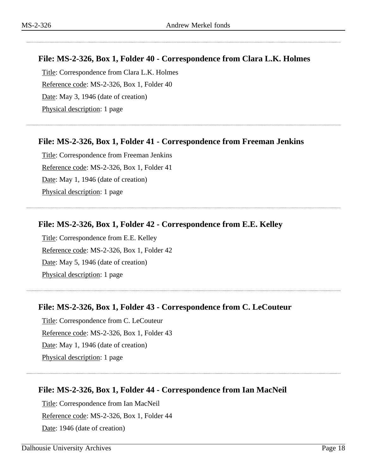# **File: MS-2-326, Box 1, Folder 40 - Correspondence from Clara L.K. Holmes**

Title: Correspondence from Clara L.K. Holmes Reference code: MS-2-326, Box 1, Folder 40 Date: May 3, 1946 (date of creation) Physical description: 1 page

# **File: MS-2-326, Box 1, Folder 41 - Correspondence from Freeman Jenkins**

Title: Correspondence from Freeman Jenkins Reference code: MS-2-326, Box 1, Folder 41 Date: May 1, 1946 (date of creation) Physical description: 1 page

# **File: MS-2-326, Box 1, Folder 42 - Correspondence from E.E. Kelley**

Title: Correspondence from E.E. Kelley Reference code: MS-2-326, Box 1, Folder 42 Date: May 5, 1946 (date of creation) Physical description: 1 page

# **File: MS-2-326, Box 1, Folder 43 - Correspondence from C. LeCouteur**

Title: Correspondence from C. LeCouteur Reference code: MS-2-326, Box 1, Folder 43 Date: May 1, 1946 (date of creation) Physical description: 1 page

# **File: MS-2-326, Box 1, Folder 44 - Correspondence from Ian MacNeil**

Title: Correspondence from Ian MacNeil Reference code: MS-2-326, Box 1, Folder 44 Date: 1946 (date of creation)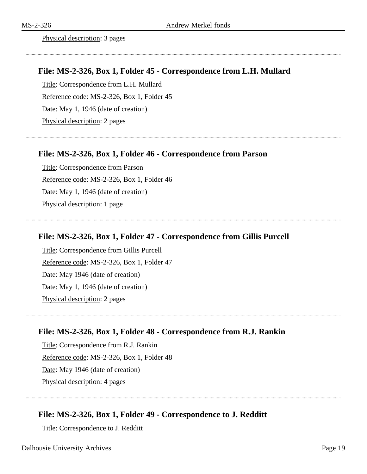Physical description: 3 pages

#### **File: MS-2-326, Box 1, Folder 45 - Correspondence from L.H. Mullard**

Title: Correspondence from L.H. Mullard Reference code: MS-2-326, Box 1, Folder 45 Date: May 1, 1946 (date of creation) Physical description: 2 pages

#### **File: MS-2-326, Box 1, Folder 46 - Correspondence from Parson**

Title: Correspondence from Parson Reference code: MS-2-326, Box 1, Folder 46 Date: May 1, 1946 (date of creation) Physical description: 1 page

#### **File: MS-2-326, Box 1, Folder 47 - Correspondence from Gillis Purcell**

Title: Correspondence from Gillis Purcell Reference code: MS-2-326, Box 1, Folder 47 Date: May 1946 (date of creation) Date: May 1, 1946 (date of creation) Physical description: 2 pages

#### **File: MS-2-326, Box 1, Folder 48 - Correspondence from R.J. Rankin**

Title: Correspondence from R.J. Rankin Reference code: MS-2-326, Box 1, Folder 48 Date: May 1946 (date of creation) Physical description: 4 pages

#### **File: MS-2-326, Box 1, Folder 49 - Correspondence to J. Redditt**

Title: Correspondence to J. Redditt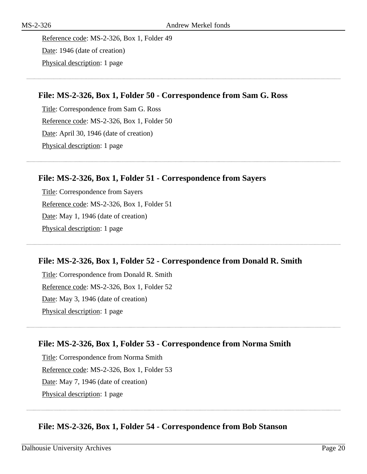Reference code: MS-2-326, Box 1, Folder 49 Date: 1946 (date of creation) Physical description: 1 page

### **File: MS-2-326, Box 1, Folder 50 - Correspondence from Sam G. Ross**

Title: Correspondence from Sam G. Ross Reference code: MS-2-326, Box 1, Folder 50 Date: April 30, 1946 (date of creation) Physical description: 1 page

### **File: MS-2-326, Box 1, Folder 51 - Correspondence from Sayers**

Title: Correspondence from Sayers Reference code: MS-2-326, Box 1, Folder 51 Date: May 1, 1946 (date of creation) Physical description: 1 page

#### **File: MS-2-326, Box 1, Folder 52 - Correspondence from Donald R. Smith**

Title: Correspondence from Donald R. Smith Reference code: MS-2-326, Box 1, Folder 52 Date: May 3, 1946 (date of creation) Physical description: 1 page

# **File: MS-2-326, Box 1, Folder 53 - Correspondence from Norma Smith**

Title: Correspondence from Norma Smith Reference code: MS-2-326, Box 1, Folder 53 Date: May 7, 1946 (date of creation) Physical description: 1 page

# **File: MS-2-326, Box 1, Folder 54 - Correspondence from Bob Stanson**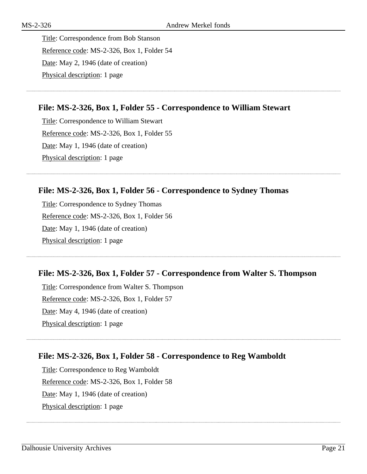Title: Correspondence from Bob Stanson Reference code: MS-2-326, Box 1, Folder 54 Date: May 2, 1946 (date of creation) Physical description: 1 page

# **File: MS-2-326, Box 1, Folder 55 - Correspondence to William Stewart**

Title: Correspondence to William Stewart Reference code: MS-2-326, Box 1, Folder 55 Date: May 1, 1946 (date of creation) Physical description: 1 page

# **File: MS-2-326, Box 1, Folder 56 - Correspondence to Sydney Thomas**

Title: Correspondence to Sydney Thomas Reference code: MS-2-326, Box 1, Folder 56 Date: May 1, 1946 (date of creation) Physical description: 1 page

# **File: MS-2-326, Box 1, Folder 57 - Correspondence from Walter S. Thompson**

Title: Correspondence from Walter S. Thompson Reference code: MS-2-326, Box 1, Folder 57 Date: May 4, 1946 (date of creation) Physical description: 1 page

# **File: MS-2-326, Box 1, Folder 58 - Correspondence to Reg Wamboldt**

Title: Correspondence to Reg Wamboldt Reference code: MS-2-326, Box 1, Folder 58 Date: May 1, 1946 (date of creation) Physical description: 1 page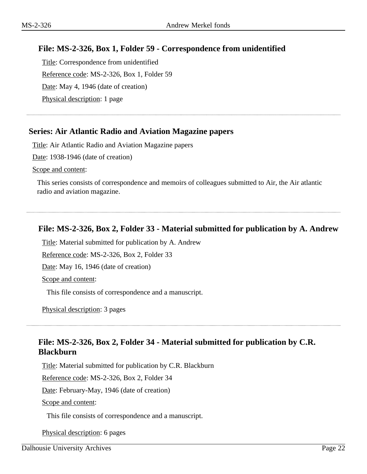# **File: MS-2-326, Box 1, Folder 59 - Correspondence from unidentified**

Title: Correspondence from unidentified Reference code: MS-2-326, Box 1, Folder 59 Date: May 4, 1946 (date of creation) Physical description: 1 page

# <span id="page-21-0"></span>**Series: Air Atlantic Radio and Aviation Magazine papers**

Title: Air Atlantic Radio and Aviation Magazine papers

Date: 1938-1946 (date of creation)

Scope and content:

This series consists of correspondence and memoirs of colleagues submitted to Air, the Air atlantic radio and aviation magazine.

# **File: MS-2-326, Box 2, Folder 33 - Material submitted for publication by A. Andrew**

Title: Material submitted for publication by A. Andrew

Reference code: MS-2-326, Box 2, Folder 33

Date: May 16, 1946 (date of creation)

Scope and content:

This file consists of correspondence and a manuscript.

Physical description: 3 pages

# **File: MS-2-326, Box 2, Folder 34 - Material submitted for publication by C.R. Blackburn**

Title: Material submitted for publication by C.R. Blackburn

Reference code: MS-2-326, Box 2, Folder 34

Date: February-May, 1946 (date of creation)

Scope and content:

This file consists of correspondence and a manuscript.

Physical description: 6 pages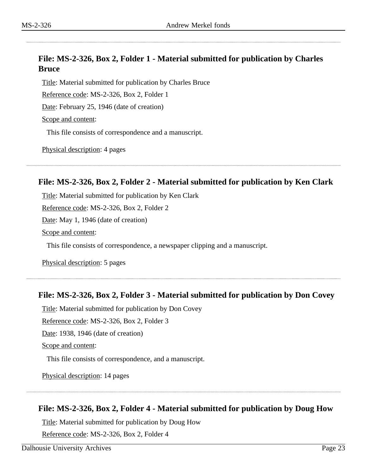# **File: MS-2-326, Box 2, Folder 1 - Material submitted for publication by Charles Bruce**

Title: Material submitted for publication by Charles Bruce

Reference code: MS-2-326, Box 2, Folder 1

Date: February 25, 1946 (date of creation)

Scope and content:

This file consists of correspondence and a manuscript.

Physical description: 4 pages

# **File: MS-2-326, Box 2, Folder 2 - Material submitted for publication by Ken Clark**

Title: Material submitted for publication by Ken Clark Reference code: MS-2-326, Box 2, Folder 2 Date: May 1, 1946 (date of creation) Scope and content: This file consists of correspondence, a newspaper clipping and a manuscript.

Physical description: 5 pages

# **File: MS-2-326, Box 2, Folder 3 - Material submitted for publication by Don Covey**

Title: Material submitted for publication by Don Covey

Reference code: MS-2-326, Box 2, Folder 3

Date: 1938, 1946 (date of creation)

Scope and content:

This file consists of correspondence, and a manuscript.

Physical description: 14 pages

# **File: MS-2-326, Box 2, Folder 4 - Material submitted for publication by Doug How**

Title: Material submitted for publication by Doug How

Reference code: MS-2-326, Box 2, Folder 4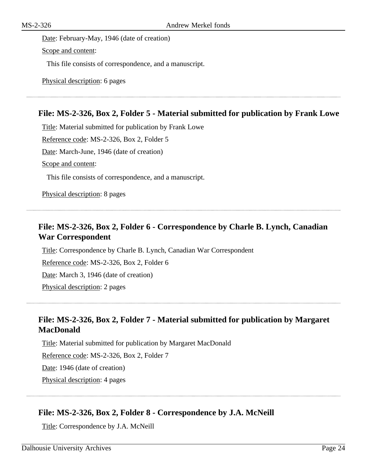Date: February-May, 1946 (date of creation) Scope and content:

This file consists of correspondence, and a manuscript.

Physical description: 6 pages

# **File: MS-2-326, Box 2, Folder 5 - Material submitted for publication by Frank Lowe**

Title: Material submitted for publication by Frank Lowe Reference code: MS-2-326, Box 2, Folder 5 Date: March-June, 1946 (date of creation) Scope and content: This file consists of correspondence, and a manuscript.

Physical description: 8 pages

# **File: MS-2-326, Box 2, Folder 6 - Correspondence by Charle B. Lynch, Canadian War Correspondent**

Title: Correspondence by Charle B. Lynch, Canadian War Correspondent Reference code: MS-2-326, Box 2, Folder 6 Date: March 3, 1946 (date of creation) Physical description: 2 pages

# **File: MS-2-326, Box 2, Folder 7 - Material submitted for publication by Margaret MacDonald**

Title: Material submitted for publication by Margaret MacDonald Reference code: MS-2-326, Box 2, Folder 7 Date: 1946 (date of creation) Physical description: 4 pages

# **File: MS-2-326, Box 2, Folder 8 - Correspondence by J.A. McNeill**

Title: Correspondence by J.A. McNeill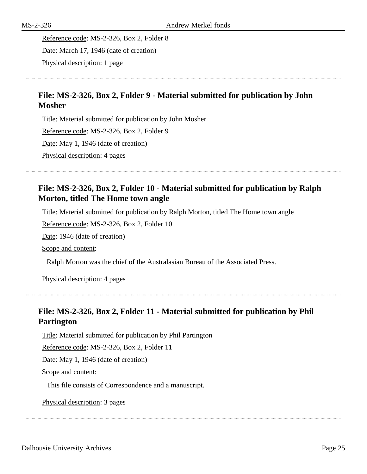Reference code: MS-2-326, Box 2, Folder 8 Date: March 17, 1946 (date of creation) Physical description: 1 page

# **File: MS-2-326, Box 2, Folder 9 - Material submitted for publication by John Mosher**

Title: Material submitted for publication by John Mosher Reference code: MS-2-326, Box 2, Folder 9 Date: May 1, 1946 (date of creation) Physical description: 4 pages

# **File: MS-2-326, Box 2, Folder 10 - Material submitted for publication by Ralph Morton, titled The Home town angle**

Title: Material submitted for publication by Ralph Morton, titled The Home town angle

Reference code: MS-2-326, Box 2, Folder 10

Date: 1946 (date of creation)

Scope and content:

Ralph Morton was the chief of the Australasian Bureau of the Associated Press.

Physical description: 4 pages

# **File: MS-2-326, Box 2, Folder 11 - Material submitted for publication by Phil Partington**

Title: Material submitted for publication by Phil Partington

Reference code: MS-2-326, Box 2, Folder 11

Date: May 1, 1946 (date of creation)

Scope and content:

This file consists of Correspondence and a manuscript.

Physical description: 3 pages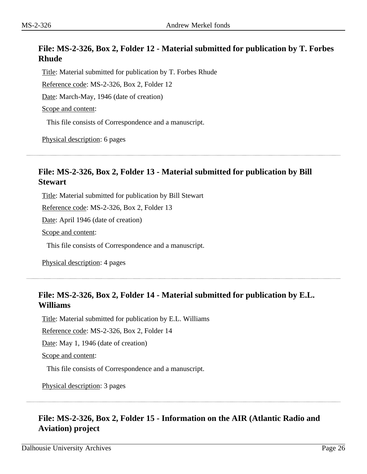# **File: MS-2-326, Box 2, Folder 12 - Material submitted for publication by T. Forbes Rhude**

Title: Material submitted for publication by T. Forbes Rhude Reference code: MS-2-326, Box 2, Folder 12 Date: March-May, 1946 (date of creation) Scope and content:

This file consists of Correspondence and a manuscript.

Physical description: 6 pages

# **File: MS-2-326, Box 2, Folder 13 - Material submitted for publication by Bill Stewart**

Title: Material submitted for publication by Bill Stewart

Reference code: MS-2-326, Box 2, Folder 13

Date: April 1946 (date of creation)

Scope and content:

This file consists of Correspondence and a manuscript.

Physical description: 4 pages

# **File: MS-2-326, Box 2, Folder 14 - Material submitted for publication by E.L. Williams**

Title: Material submitted for publication by E.L. Williams

Reference code: MS-2-326, Box 2, Folder 14

Date: May 1, 1946 (date of creation)

Scope and content:

This file consists of Correspondence and a manuscript.

Physical description: 3 pages

# **File: MS-2-326, Box 2, Folder 15 - Information on the AIR (Atlantic Radio and Aviation) project**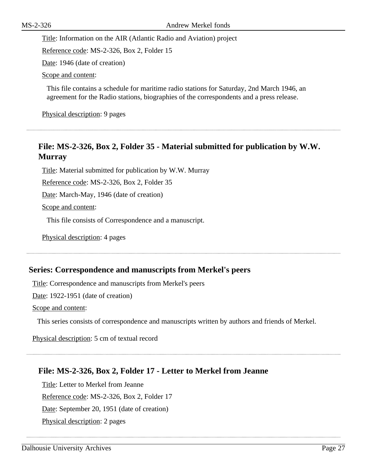Title: Information on the AIR (Atlantic Radio and Aviation) project

Reference code: MS-2-326, Box 2, Folder 15

Date: 1946 (date of creation)

Scope and content:

This file contains a schedule for maritime radio stations for Saturday, 2nd March 1946, an agreement for the Radio stations, biographies of the correspondents and a press release.

Physical description: 9 pages

# **File: MS-2-326, Box 2, Folder 35 - Material submitted for publication by W.W. Murray**

Title: Material submitted for publication by W.W. Murray

Reference code: MS-2-326, Box 2, Folder 35

Date: March-May, 1946 (date of creation)

Scope and content:

This file consists of Correspondence and a manuscript.

Physical description: 4 pages

#### <span id="page-26-0"></span>**Series: Correspondence and manuscripts from Merkel's peers**

Title: Correspondence and manuscripts from Merkel's peers

Date: 1922-1951 (date of creation)

Scope and content:

This series consists of correspondence and manuscripts written by authors and friends of Merkel.

Physical description: 5 cm of textual record

#### **File: MS-2-326, Box 2, Folder 17 - Letter to Merkel from Jeanne**

Title: Letter to Merkel from Jeanne Reference code: MS-2-326, Box 2, Folder 17 Date: September 20, 1951 (date of creation) Physical description: 2 pages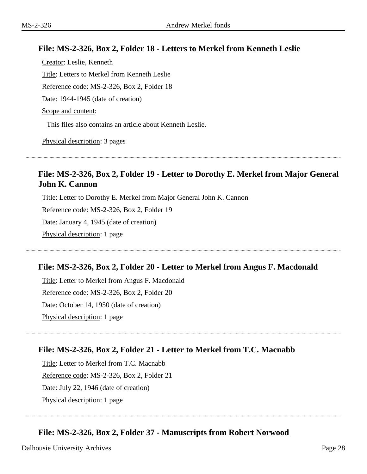# **File: MS-2-326, Box 2, Folder 18 - Letters to Merkel from Kenneth Leslie**

Creator: Leslie, Kenneth Title: Letters to Merkel from Kenneth Leslie Reference code: MS-2-326, Box 2, Folder 18 Date: 1944-1945 (date of creation) Scope and content:

This files also contains an article about Kenneth Leslie.

Physical description: 3 pages

# **File: MS-2-326, Box 2, Folder 19 - Letter to Dorothy E. Merkel from Major General John K. Cannon**

Title: Letter to Dorothy E. Merkel from Major General John K. Cannon Reference code: MS-2-326, Box 2, Folder 19

Date: January 4, 1945 (date of creation)

Physical description: 1 page

# **File: MS-2-326, Box 2, Folder 20 - Letter to Merkel from Angus F. Macdonald**

Title: Letter to Merkel from Angus F. Macdonald Reference code: MS-2-326, Box 2, Folder 20 Date: October 14, 1950 (date of creation) Physical description: 1 page

# **File: MS-2-326, Box 2, Folder 21 - Letter to Merkel from T.C. Macnabb**

Title: Letter to Merkel from T.C. Macnabb Reference code: MS-2-326, Box 2, Folder 21 Date: July 22, 1946 (date of creation) Physical description: 1 page

# **File: MS-2-326, Box 2, Folder 37 - Manuscripts from Robert Norwood**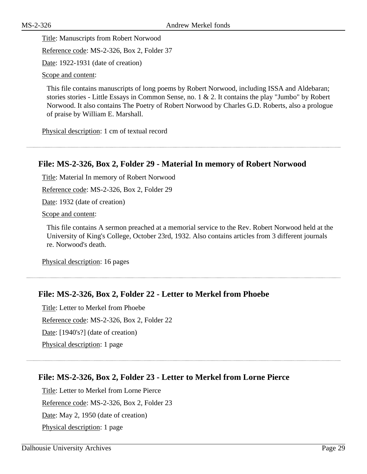Title: Manuscripts from Robert Norwood

Reference code: MS-2-326, Box 2, Folder 37

Date: 1922-1931 (date of creation)

Scope and content:

This file contains manuscripts of long poems by Robert Norwood, including ISSA and Aldebaran; stories stories - Little Essays in Common Sense, no. 1 & 2. It contains the play "Jumbo" by Robert Norwood. It also contains The Poetry of Robert Norwood by Charles G.D. Roberts, also a prologue of praise by William E. Marshall.

Physical description: 1 cm of textual record

# **File: MS-2-326, Box 2, Folder 29 - Material In memory of Robert Norwood**

Title: Material In memory of Robert Norwood

Reference code: MS-2-326, Box 2, Folder 29

Date: 1932 (date of creation)

Scope and content:

This file contains A sermon preached at a memorial service to the Rev. Robert Norwood held at the University of King's College, October 23rd, 1932. Also contains articles from 3 different journals re. Norwood's death.

Physical description: 16 pages

# **File: MS-2-326, Box 2, Folder 22 - Letter to Merkel from Phoebe**

Title: Letter to Merkel from Phoebe

Reference code: MS-2-326, Box 2, Folder 22

Date: [1940's?] (date of creation)

Physical description: 1 page

# **File: MS-2-326, Box 2, Folder 23 - Letter to Merkel from Lorne Pierce**

Title: Letter to Merkel from Lorne Pierce Reference code: MS-2-326, Box 2, Folder 23 Date: May 2, 1950 (date of creation) Physical description: 1 page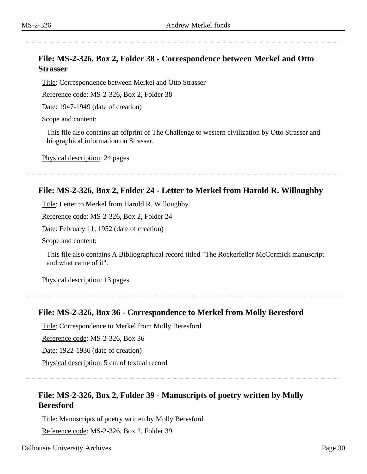# **File: MS-2-326, Box 2, Folder 38 - Correspondence between Merkel and Otto Strasser**

Title: Correspondence between Merkel and Otto Strasser

Reference code: MS-2-326, Box 2, Folder 38

Date: 1947-1949 (date of creation)

Scope and content:

This file also contains an offprint of The Challenge to western civilization by Otto Strasser and biographical information on Strasser.

Physical description: 24 pages

# **File: MS-2-326, Box 2, Folder 24 - Letter to Merkel from Harold R. Willoughby**

Title: Letter to Merkel from Harold R. Willoughby

Reference code: MS-2-326, Box 2, Folder 24

Date: February 11, 1952 (date of creation)

Scope and content:

This file also contains A Bibliographical record titled "The Rockerfeller McCormick manuscript and what came of it".

Physical description: 13 pages

### **File: MS-2-326, Box 36 - Correspondence to Merkel from Molly Beresford**

Title: Correspondence to Merkel from Molly Beresford

Reference code: MS-2-326, Box 36

Date: 1922-1936 (date of creation)

Physical description: 5 cm of textual record

# **File: MS-2-326, Box 2, Folder 39 - Manuscripts of poetry written by Molly Beresford**

Title: Manuscripts of poetry written by Molly Beresford

Reference code: MS-2-326, Box 2, Folder 39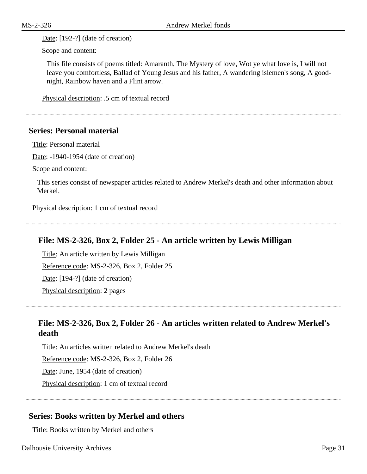Date: [192-?] (date of creation)

Scope and content:

This file consists of poems titled: Amaranth, The Mystery of love, Wot ye what love is, I will not leave you comfortless, Ballad of Young Jesus and his father, A wandering islemen's song, A goodnight, Rainbow haven and a Flint arrow.

Physical description: .5 cm of textual record

#### <span id="page-30-0"></span>**Series: Personal material**

Title: Personal material

Date: -1940-1954 (date of creation)

Scope and content:

This series consist of newspaper articles related to Andrew Merkel's death and other information about Merkel.

Physical description: 1 cm of textual record

# **File: MS-2-326, Box 2, Folder 25 - An article written by Lewis Milligan**

Title: An article written by Lewis Milligan Reference code: MS-2-326, Box 2, Folder 25 Date: [194-?] (date of creation) Physical description: 2 pages

# **File: MS-2-326, Box 2, Folder 26 - An articles written related to Andrew Merkel's death**

Title: An articles written related to Andrew Merkel's death Reference code: MS-2-326, Box 2, Folder 26 Date: June, 1954 (date of creation) Physical description: 1 cm of textual record

# <span id="page-30-1"></span>**Series: Books written by Merkel and others**

Title: Books written by Merkel and others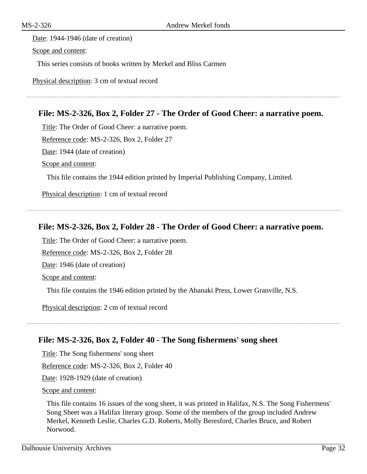# Date: 1944-1946 (date of creation) Scope and content:

This series consists of books written by Merkel and Bliss Carmen

Physical description: 3 cm of textual record

### **File: MS-2-326, Box 2, Folder 27 - The Order of Good Cheer: a narrative poem.**

Title: The Order of Good Cheer: a narrative poem.

Reference code: MS-2-326, Box 2, Folder 27

Date: 1944 (date of creation)

Scope and content:

This file contains the 1944 edition printed by Imperial Publishing Company, Limited.

Physical description: 1 cm of textual record

#### **File: MS-2-326, Box 2, Folder 28 - The Order of Good Cheer: a narrative poem.**

Title: The Order of Good Cheer: a narrative poem.

Reference code: MS-2-326, Box 2, Folder 28

Date: 1946 (date of creation)

Scope and content:

This file contains the 1946 edition printed by the Abanaki Press, Lower Granville, N.S.

Physical description: 2 cm of textual record

#### **File: MS-2-326, Box 2, Folder 40 - The Song fishermens' song sheet**

Title: The Song fishermens' song sheet

Reference code: MS-2-326, Box 2, Folder 40

Date: 1928-1929 (date of creation)

Scope and content:

This file contains 16 issues of the song sheet, it was printed in Halifax, N.S. The Song Fishermens' Song Sheet was a Halifax literary group. Some of the members of the group included Andrew Merkel, Kenneth Leslie, Charles G.D. Roberts, Molly Beresford, Charles Bruce, and Robert Norwood.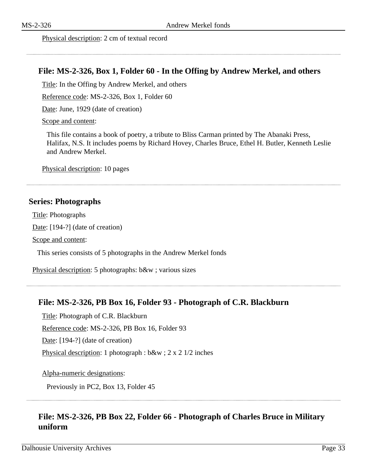#### Physical description: 2 cm of textual record

#### **File: MS-2-326, Box 1, Folder 60 - In the Offing by Andrew Merkel, and others**

Title: In the Offing by Andrew Merkel, and others

Reference code: MS-2-326, Box 1, Folder 60

Date: June, 1929 (date of creation)

Scope and content:

This file contains a book of poetry, a tribute to Bliss Carman printed by The Abanaki Press, Halifax, N.S. It includes poems by Richard Hovey, Charles Bruce, Ethel H. Butler, Kenneth Leslie and Andrew Merkel.

Physical description: 10 pages

#### <span id="page-32-0"></span>**Series: Photographs**

Title: Photographs Date: [194-?] (date of creation) Scope and content:

This series consists of 5 photographs in the Andrew Merkel fonds

Physical description: 5 photographs: b&w ; various sizes

#### **File: MS-2-326, PB Box 16, Folder 93 - Photograph of C.R. Blackburn**

Title: Photograph of C.R. Blackburn

Reference code: MS-2-326, PB Box 16, Folder 93

Date: [194-?] (date of creation)

Physical description: 1 photograph : b&w ; 2 x 2 1/2 inches

Alpha-numeric designations:

Previously in PC2, Box 13, Folder 45

# **File: MS-2-326, PB Box 22, Folder 66 - Photograph of Charles Bruce in Military uniform**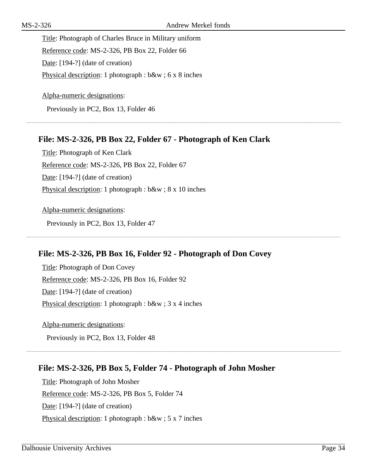Title: Photograph of Charles Bruce in Military uniform Reference code: MS-2-326, PB Box 22, Folder 66 Date: [194-?] (date of creation) Physical description: 1 photograph : b&w ; 6 x 8 inches

Alpha-numeric designations: Previously in PC2, Box 13, Folder 46

# **File: MS-2-326, PB Box 22, Folder 67 - Photograph of Ken Clark**

Title: Photograph of Ken Clark Reference code: MS-2-326, PB Box 22, Folder 67 Date: [194-?] (date of creation) Physical description: 1 photograph : b&w ; 8 x 10 inches

Alpha-numeric designations: Previously in PC2, Box 13, Folder 47

# **File: MS-2-326, PB Box 16, Folder 92 - Photograph of Don Covey**

Title: Photograph of Don Covey Reference code: MS-2-326, PB Box 16, Folder 92 Date: [194-?] (date of creation) Physical description: 1 photograph : b&w ; 3 x 4 inches

Alpha-numeric designations:

Previously in PC2, Box 13, Folder 48

# **File: MS-2-326, PB Box 5, Folder 74 - Photograph of John Mosher**

Title: Photograph of John Mosher Reference code: MS-2-326, PB Box 5, Folder 74 Date: [194-?] (date of creation) Physical description: 1 photograph : b&w ; 5 x 7 inches